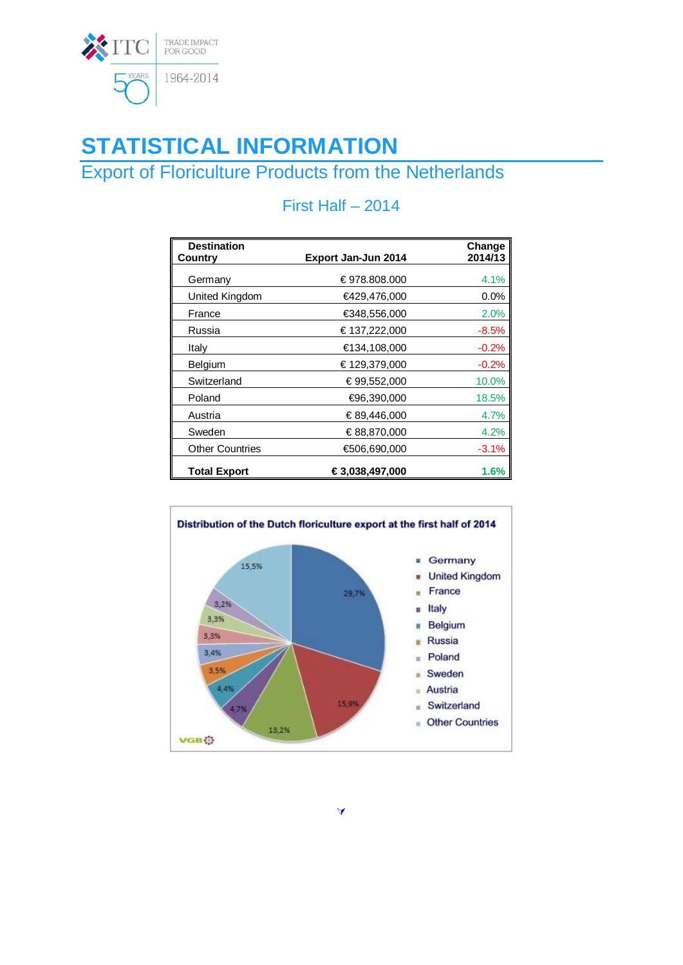

# **STATISTICAL INFORMATION**

## Export of Floriculture Products from the Netherlands

| <b>Destination</b>     |                     | Change  |
|------------------------|---------------------|---------|
| Country                | Export Jan-Jun 2014 | 2014/13 |
| Germany                | €978.808.000        | 4.1%    |
| United Kingdom         | €429,476,000        | $0.0\%$ |
| France                 | €348,556,000        | 2.0%    |
| Russia                 | €137,222,000        | $-8.5%$ |
| Italy                  | €134,108,000        | $-0.2%$ |
| Belgium                | €129,379,000        | $-0.2%$ |
| Switzerland            | €99,552,000         | 10.0%   |
| Poland                 | €96,390,000         | 18.5%   |
| Austria                | €89,446,000         | 4.7%    |
| Sweden                 | €88,870,000         | 4.2%    |
| <b>Other Countries</b> | €506,690,000        | $-3.1%$ |
| <b>Total Export</b>    | €3,038,497,000      | 1.6%    |

### First Half – 2014



À